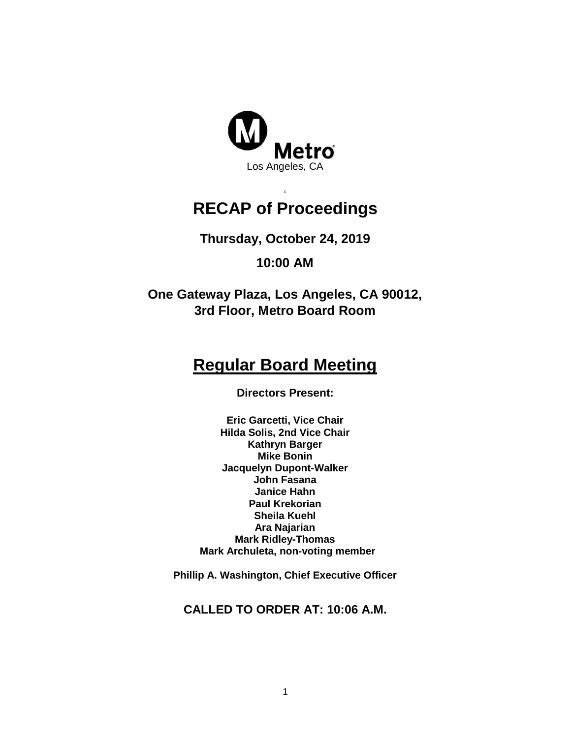

#### ' **RECAP of Proceedings**

**Thursday, October 24, 2019**

**10:00 AM**

**One Gateway Plaza, Los Angeles, CA 90012, 3rd Floor, Metro Board Room**

# **Regular Board Meeting**

**Directors Present:**

**Eric Garcetti, Vice Chair Hilda Solis, 2nd Vice Chair Kathryn Barger Mike Bonin Jacquelyn Dupont-Walker John Fasana Janice Hahn Paul Krekorian Sheila Kuehl Ara Najarian Mark Ridley-Thomas Mark Archuleta, non-voting member**

**Phillip A. Washington, Chief Executive Officer**

**CALLED TO ORDER AT: 10:06 A.M.**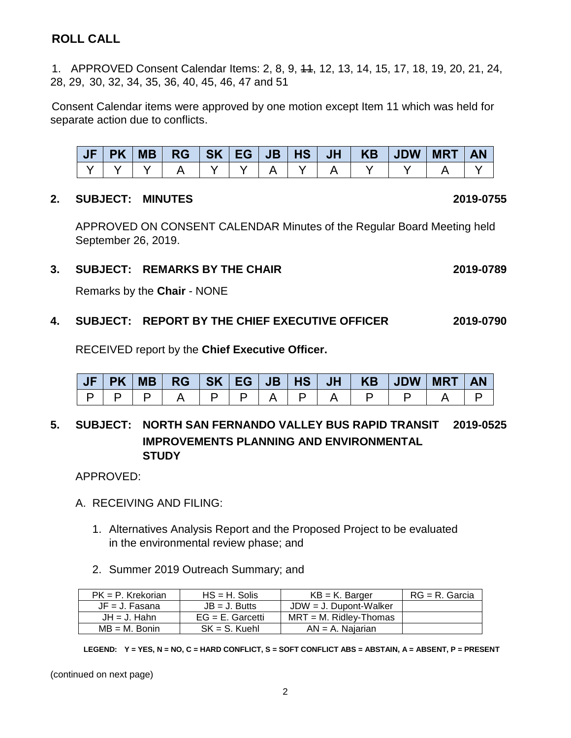## **ROLL CALL**

1. APPROVED Consent Calendar Items: 2, 8, 9, 11, 12, 13, 14, 15, 17, 18, 19, 20, 21, 24, 28, 29, 30, 32, 34, 35, 36, 40, 45, 46, 47 and 51

Consent Calendar items were approved by one motion except Item 11 which was held for separate action due to conflicts.

|  | <b>PK</b> | <b>MB</b> | <b>RG</b> | SK EG | JB | HS |  | JH   KB   JDW | <b>MRT</b> | <b>AN</b> |
|--|-----------|-----------|-----------|-------|----|----|--|---------------|------------|-----------|
|  |           |           |           |       |    |    |  |               |            |           |

#### **2. SUBJECT: MINUTES 2019-0755**

APPROVED ON CONSENT CALENDAR Minutes of the Regular Board Meeting held September 26, 2019.

#### **3. SUBJECT: REMARKS BY THE CHAIR 2019-0789**

Remarks by the **Chair** - NONE

#### **4. SUBJECT: REPORT BY THE CHIEF EXECUTIVE OFFICER 2019-0790**

RECEIVED report by the **Chief Executive Officer.** 

| JF | <b>IPK</b> | MB |  |  |  | $RG$ $SK$ $EG$ $JB$ $HS$ $JI$ $KB$ $JDW$ | <b>MRT</b> | <b>AN</b> |
|----|------------|----|--|--|--|------------------------------------------|------------|-----------|
|    |            |    |  |  |  |                                          |            |           |

#### **5. SUBJECT: NORTH SAN FERNANDO VALLEY BUS RAPID TRANSIT 2019-0525 IMPROVEMENTS PLANNING AND ENVIRONMENTAL STUDY**

APPROVED:

- A. RECEIVING AND FILING:
	- 1. Alternatives Analysis Report and the Proposed Project to be evaluated in the environmental review phase; and
	- 2. Summer 2019 Outreach Summary; and

| $PK = P$ . Krekorian | $HS = H$ . Solis    | $KB = K$ . Barger         | $RG = R$ . Garcia |
|----------------------|---------------------|---------------------------|-------------------|
| $JF = J$ . Fasana    | $JB = J.$ Butts     | $JDW = J$ . Dupont-Walker |                   |
| $JH = J$ . Hahn      | $EG = E$ . Garcetti | $MRT = M$ . Ridlev-Thomas |                   |
| $MB = M$ . Bonin     | $SK = S$ . Kuehl    | $AN = A$ . Najarian       |                   |

**LEGEND: Y = YES, N = NO, C = HARD CONFLICT, S = SOFT CONFLICT ABS = ABSTAIN, A = ABSENT, P = PRESENT**

(continued on next page)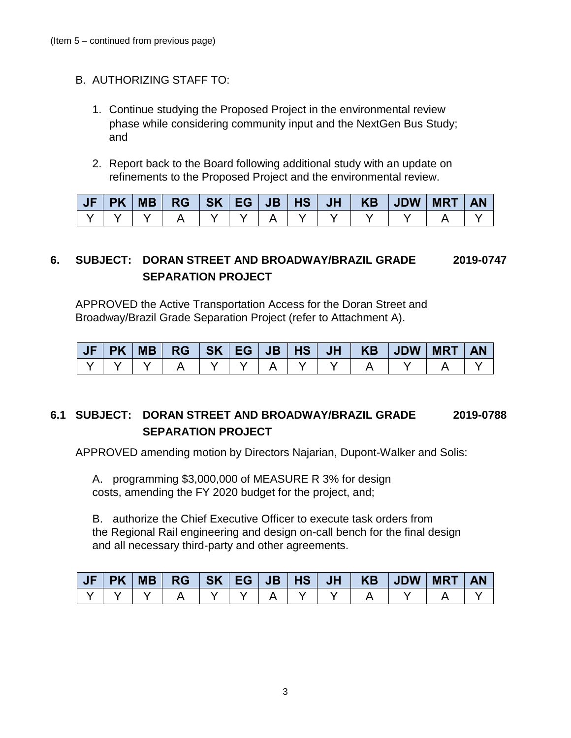- B. AUTHORIZING STAFF TO:
	- 1. Continue studying the Proposed Project in the environmental review phase while considering community input and the NextGen Bus Study; and
	- 2. Report back to the Board following additional study with an update on refinements to the Proposed Project and the environmental review.

|  |  |  |  |  | JF   PK   MB   RG   SK   EG   JB   HS   JH   KB   JDW   MRT | AN |
|--|--|--|--|--|-------------------------------------------------------------|----|
|  |  |  |  |  |                                                             |    |

## **6. SUBJECT: DORAN STREET AND BROADWAY/BRAZIL GRADE 2019-0747 SEPARATION PROJECT**

APPROVED the Active Transportation Access for the Doran Street and Broadway/Brazil Grade Separation Project (refer to Attachment A).

| JF | <b>PK</b> | MB | $RG$ $SK$ $EG$ $JB$ $HS$ |  |  | JH V | KB | <b>UDW</b> | <b>MRT</b> |  |
|----|-----------|----|--------------------------|--|--|------|----|------------|------------|--|
|    |           |    |                          |  |  |      |    |            |            |  |

### **6.1 SUBJECT: DORAN STREET AND BROADWAY/BRAZIL GRADE 2019-0788 SEPARATION PROJECT**

APPROVED amending motion by Directors Najarian, Dupont-Walker and Solis:

A. programming \$3,000,000 of MEASURE R 3% for design costs, amending the FY 2020 budget for the project, and;

B. authorize the Chief Executive Officer to execute task orders from the Regional Rail engineering and design on-call bench for the final design and all necessary third-party and other agreements.

| JF | <b>PK</b> | MB | <b>RG</b> | SK EG | $\mathbf{J} \mathbf{B}$ | H | JH | <b>KB</b> | <b>JDW</b> | <b>MRT</b> | <b>AN</b> |
|----|-----------|----|-----------|-------|-------------------------|---|----|-----------|------------|------------|-----------|
|    |           |    |           |       |                         |   |    |           |            |            |           |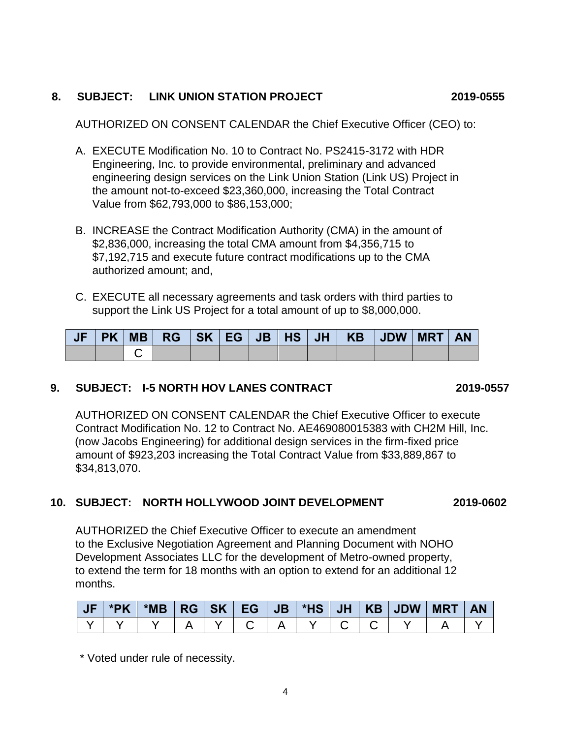## **8. SUBJECT: LINK UNION STATION PROJECT 2019-0555**

AUTHORIZED ON CONSENT CALENDAR the Chief Executive Officer (CEO) to:

- A. EXECUTE Modification No. 10 to Contract No. PS2415-3172 with HDR Engineering, Inc. to provide environmental, preliminary and advanced engineering design services on the Link Union Station (Link US) Project in the amount not-to-exceed \$23,360,000, increasing the Total Contract Value from \$62,793,000 to \$86,153,000;
- B. INCREASE the Contract Modification Authority (CMA) in the amount of \$2,836,000, increasing the total CMA amount from \$4,356,715 to \$7,192,715 and execute future contract modifications up to the CMA authorized amount; and,
- C. EXECUTE all necessary agreements and task orders with third parties to support the Link US Project for a total amount of up to \$8,000,000.

|  | PK MB |  |  |  | │ RG │SK │EG │JB │HS │JH │ KB │JDW │MRT │ |  | <b>AN</b> |
|--|-------|--|--|--|-------------------------------------------|--|-----------|
|  |       |  |  |  |                                           |  |           |

#### **9. SUBJECT: I-5 NORTH HOV LANES CONTRACT 2019-0557**

AUTHORIZED ON CONSENT CALENDAR the Chief Executive Officer to execute Contract Modification No. 12 to Contract No. AE469080015383 with CH2M Hill, Inc. (now Jacobs Engineering) for additional design services in the firm-fixed price amount of \$923,203 increasing the Total Contract Value from \$33,889,867 to \$34,813,070.

#### **10. SUBJECT: NORTH HOLLYWOOD JOINT DEVELOPMENT 2019-0602**

AUTHORIZED the Chief Executive Officer to execute an amendment to the Exclusive Negotiation Agreement and Planning Document with NOHO Development Associates LLC for the development of Metro-owned property, to extend the term for 18 months with an option to extend for an additional 12 months.

| <b>JF</b> | *PK |  |  |  |  | *MB   RG   SK   EG   JB   *HS   JH   KB   JDW   MRT   AN |  |
|-----------|-----|--|--|--|--|----------------------------------------------------------|--|
|           |     |  |  |  |  |                                                          |  |

\* Voted under rule of necessity.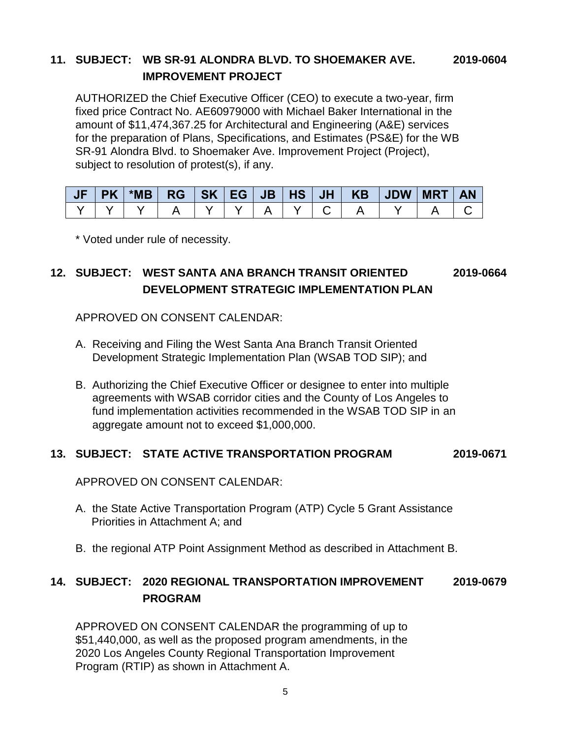### **11. SUBJECT: WB SR-91 ALONDRA BLVD. TO SHOEMAKER AVE. 2019-0604 IMPROVEMENT PROJECT**

AUTHORIZED the Chief Executive Officer (CEO) to execute a two-year, firm fixed price Contract No. AE60979000 with Michael Baker International in the amount of \$11,474,367.25 for Architectural and Engineering (A&E) services for the preparation of Plans, Specifications, and Estimates (PS&E) for the WB SR-91 Alondra Blvd. to Shoemaker Ave. Improvement Project (Project), subject to resolution of protest(s), if any.

| <b>PK</b> | $*MB$ | <b>RG</b> | $J$ SK EG | $\sqrt{JB$   HS   JH $\sqrt{}$ |  | KB JDW MRT | <b>AN</b> |
|-----------|-------|-----------|-----------|--------------------------------|--|------------|-----------|
|           |       |           |           |                                |  |            |           |

\* Voted under rule of necessity.

## **12. SUBJECT: WEST SANTA ANA BRANCH TRANSIT ORIENTED 2019-0664 DEVELOPMENT STRATEGIC IMPLEMENTATION PLAN**

APPROVED ON CONSENT CALENDAR:

- A. Receiving and Filing the West Santa Ana Branch Transit Oriented Development Strategic Implementation Plan (WSAB TOD SIP); and
- B. Authorizing the Chief Executive Officer or designee to enter into multiple agreements with WSAB corridor cities and the County of Los Angeles to fund implementation activities recommended in the WSAB TOD SIP in an aggregate amount not to exceed \$1,000,000.

#### **13. SUBJECT: STATE ACTIVE TRANSPORTATION PROGRAM 2019-0671**

APPROVED ON CONSENT CALENDAR:

- A. the State Active Transportation Program (ATP) Cycle 5 Grant Assistance Priorities in Attachment A; and
- B. the regional ATP Point Assignment Method as described in Attachment B.

### **14. SUBJECT: 2020 REGIONAL TRANSPORTATION IMPROVEMENT 2019-0679 PROGRAM**

APPROVED ON CONSENT CALENDAR the programming of up to \$51,440,000, as well as the proposed program amendments, in the 2020 Los Angeles County Regional Transportation Improvement Program (RTIP) as shown in Attachment A.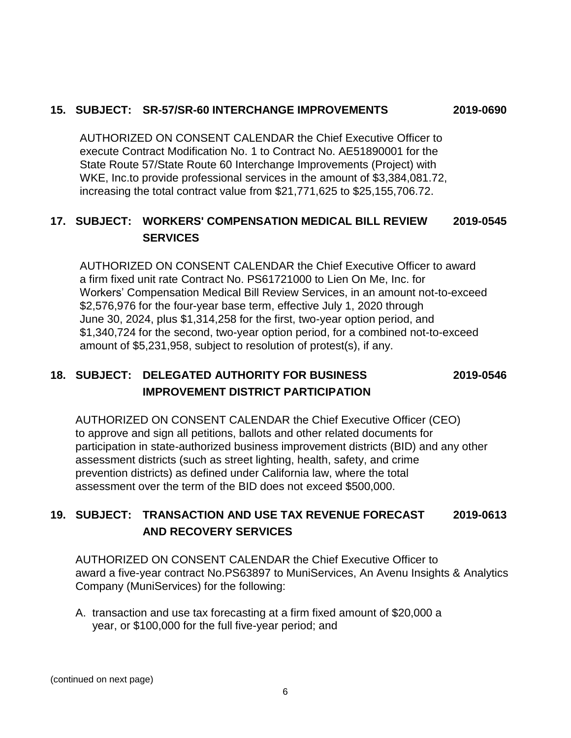#### **15. SUBJECT: SR-57/SR-60 INTERCHANGE IMPROVEMENTS 2019-0690**

AUTHORIZED ON CONSENT CALENDAR the Chief Executive Officer to execute Contract Modification No. 1 to Contract No. AE51890001 for the State Route 57/State Route 60 Interchange Improvements (Project) with WKE, Inc.to provide professional services in the amount of \$3,384,081.72, increasing the total contract value from \$21,771,625 to \$25,155,706.72.

## **17. SUBJECT: WORKERS' COMPENSATION MEDICAL BILL REVIEW 2019-0545 SERVICES**

AUTHORIZED ON CONSENT CALENDAR the Chief Executive Officer to award a firm fixed unit rate Contract No. PS61721000 to Lien On Me, Inc. for Workers' Compensation Medical Bill Review Services, in an amount not-to-exceed \$2,576,976 for the four-year base term, effective July 1, 2020 through June 30, 2024, plus \$1,314,258 for the first, two-year option period, and \$1,340,724 for the second, two-year option period, for a combined not-to-exceed amount of \$5,231,958, subject to resolution of protest(s), if any.

## **18. SUBJECT: DELEGATED AUTHORITY FOR BUSINESS 2019-0546 IMPROVEMENT DISTRICT PARTICIPATION**

AUTHORIZED ON CONSENT CALENDAR the Chief Executive Officer (CEO) to approve and sign all petitions, ballots and other related documents for participation in state-authorized business improvement districts (BID) and any other assessment districts (such as street lighting, health, safety, and crime prevention districts) as defined under California law, where the total assessment over the term of the BID does not exceed \$500,000.

## **19. SUBJECT: TRANSACTION AND USE TAX REVENUE FORECAST 2019-0613 AND RECOVERY SERVICES**

AUTHORIZED ON CONSENT CALENDAR the Chief Executive Officer to award a five-year contract No.PS63897 to MuniServices, An Avenu Insights & Analytics Company (MuniServices) for the following:

A. transaction and use tax forecasting at a firm fixed amount of \$20,000 a year, or \$100,000 for the full five-year period; and

(continued on next page)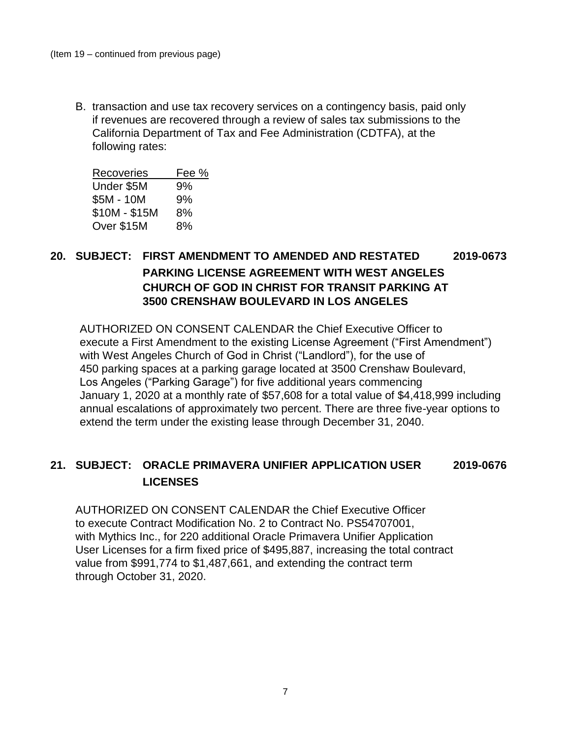B. transaction and use tax recovery services on a contingency basis, paid only if revenues are recovered through a review of sales tax submissions to the California Department of Tax and Fee Administration (CDTFA), at the following rates:

| <b>Recoveries</b> | Fee % |
|-------------------|-------|
| Under \$5M        | 9%    |
| \$5M - 10M        | 9%    |
| \$10M - \$15M     | 8%    |
| Over \$15M        | 8%    |

## **20. SUBJECT: FIRST AMENDMENT TO AMENDED AND RESTATED 2019-0673 PARKING LICENSE AGREEMENT WITH WEST ANGELES CHURCH OF GOD IN CHRIST FOR TRANSIT PARKING AT 3500 CRENSHAW BOULEVARD IN LOS ANGELES**

AUTHORIZED ON CONSENT CALENDAR the Chief Executive Officer to execute a First Amendment to the existing License Agreement ("First Amendment") with West Angeles Church of God in Christ ("Landlord"), for the use of 450 parking spaces at a parking garage located at 3500 Crenshaw Boulevard, Los Angeles ("Parking Garage") for five additional years commencing January 1, 2020 at a monthly rate of \$57,608 for a total value of \$4,418,999 including annual escalations of approximately two percent. There are three five-year options to extend the term under the existing lease through December 31, 2040.

## **21. SUBJECT: ORACLE PRIMAVERA UNIFIER APPLICATION USER 2019-0676 LICENSES**

AUTHORIZED ON CONSENT CALENDAR the Chief Executive Officer to execute Contract Modification No. 2 to Contract No. PS54707001, with Mythics Inc., for 220 additional Oracle Primavera Unifier Application User Licenses for a firm fixed price of \$495,887, increasing the total contract value from \$991,774 to \$1,487,661, and extending the contract term through October 31, 2020.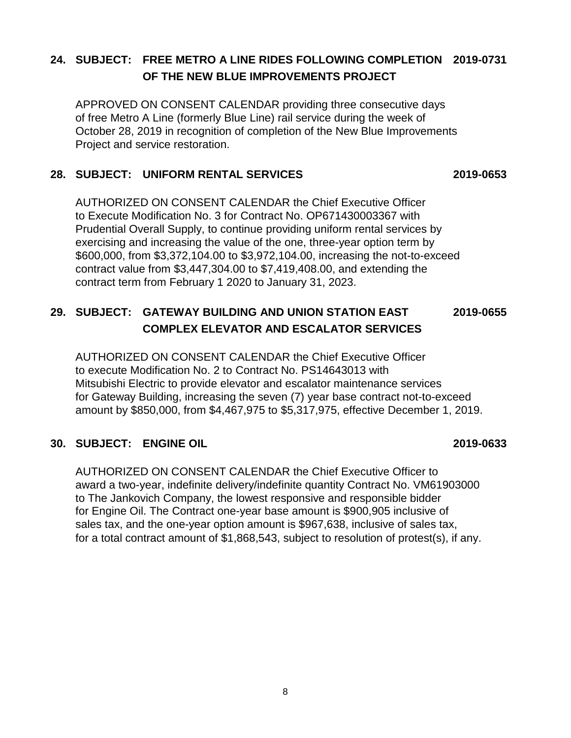## **24. SUBJECT: FREE METRO A LINE RIDES FOLLOWING COMPLETION 2019-0731 OF THE NEW BLUE IMPROVEMENTS PROJECT**

APPROVED ON CONSENT CALENDAR providing three consecutive days of free Metro A Line (formerly Blue Line) rail service during the week of October 28, 2019 in recognition of completion of the New Blue Improvements Project and service restoration.

#### **28. SUBJECT: UNIFORM RENTAL SERVICES 2019-0653**

AUTHORIZED ON CONSENT CALENDAR the Chief Executive Officer to Execute Modification No. 3 for Contract No. OP671430003367 with Prudential Overall Supply, to continue providing uniform rental services by exercising and increasing the value of the one, three-year option term by \$600,000, from \$3,372,104.00 to \$3,972,104.00, increasing the not-to-exceed contract value from \$3,447,304.00 to \$7,419,408.00, and extending the contract term from February 1 2020 to January 31, 2023.

## **29. SUBJECT: GATEWAY BUILDING AND UNION STATION EAST 2019-0655 COMPLEX ELEVATOR AND ESCALATOR SERVICES**

AUTHORIZED ON CONSENT CALENDAR the Chief Executive Officer to execute Modification No. 2 to Contract No. PS14643013 with Mitsubishi Electric to provide elevator and escalator maintenance services for Gateway Building, increasing the seven (7) year base contract not-to-exceed amount by \$850,000, from \$4,467,975 to \$5,317,975, effective December 1, 2019.

#### **30. SUBJECT: ENGINE OIL 2019-0633**

AUTHORIZED ON CONSENT CALENDAR the Chief Executive Officer to award a two-year, indefinite delivery/indefinite quantity Contract No. VM61903000 to The Jankovich Company, the lowest responsive and responsible bidder for Engine Oil. The Contract one-year base amount is \$900,905 inclusive of sales tax, and the one-year option amount is \$967,638, inclusive of sales tax, for a total contract amount of \$1,868,543, subject to resolution of protest(s), if any.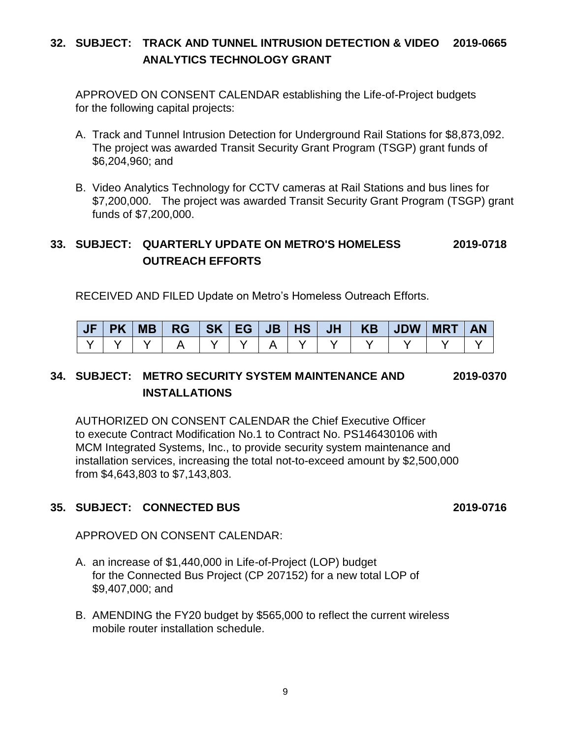## **32. SUBJECT: TRACK AND TUNNEL INTRUSION DETECTION & VIDEO 2019-0665 ANALYTICS TECHNOLOGY GRANT**

APPROVED ON CONSENT CALENDAR establishing the Life-of-Project budgets for the following capital projects:

- A. Track and Tunnel Intrusion Detection for Underground Rail Stations for \$8,873,092. The project was awarded Transit Security Grant Program (TSGP) grant funds of \$6,204,960; and
- B. Video Analytics Technology for CCTV cameras at Rail Stations and bus lines for \$7,200,000. The project was awarded Transit Security Grant Program (TSGP) grant funds of \$7,200,000.

## **33. SUBJECT: QUARTERLY UPDATE ON METRO'S HOMELESS 2019-0718 OUTREACH EFFORTS**

RECEIVED AND FILED Update on Metro's Homeless Outreach Efforts.

|  | JF PK MB  RG  SK EG JB HS JH   KB  JDW MRT |  |  |  |  | <b>AN</b> |
|--|--------------------------------------------|--|--|--|--|-----------|
|  |                                            |  |  |  |  |           |

## **34. SUBJECT: METRO SECURITY SYSTEM MAINTENANCE AND 2019-0370 INSTALLATIONS**

AUTHORIZED ON CONSENT CALENDAR the Chief Executive Officer to execute Contract Modification No.1 to Contract No. PS146430106 with MCM Integrated Systems, Inc., to provide security system maintenance and installation services, increasing the total not-to-exceed amount by \$2,500,000 from \$4,643,803 to \$7,143,803.

### **35. SUBJECT: CONNECTED BUS 2019-0716**

APPROVED ON CONSENT CALENDAR:

- A. an increase of \$1,440,000 in Life-of-Project (LOP) budget for the Connected Bus Project (CP 207152) for a new total LOP of \$9,407,000; and
- B. AMENDING the FY20 budget by \$565,000 to reflect the current wireless mobile router installation schedule.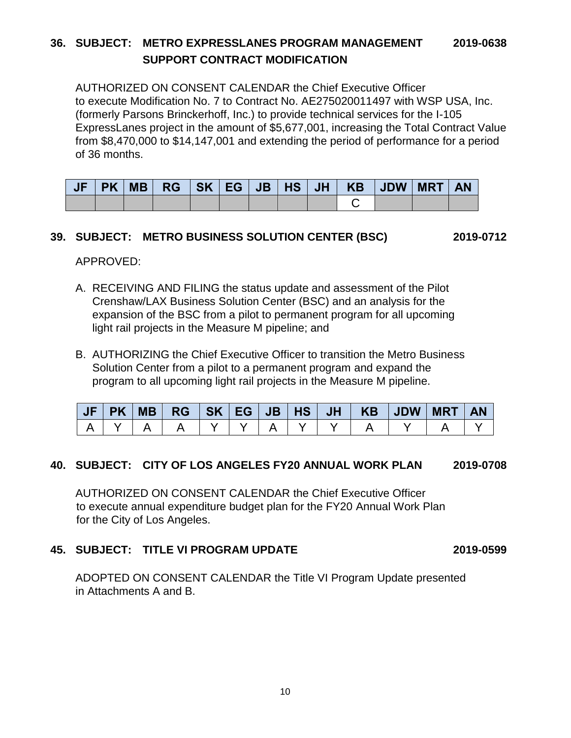### **36. SUBJECT: METRO EXPRESSLANES PROGRAM MANAGEMENT 2019-0638 SUPPORT CONTRACT MODIFICATION**

AUTHORIZED ON CONSENT CALENDAR the Chief Executive Officer to execute Modification No. 7 to Contract No. AE275020011497 with WSP USA, Inc. (formerly Parsons Brinckerhoff, Inc.) to provide technical services for the I-105 ExpressLanes project in the amount of \$5,677,001, increasing the Total Contract Value from \$8,470,000 to \$14,147,001 and extending the period of performance for a period of 36 months.

| <b>JF</b> |  |  |  |  | PK   MB   RG   SK   EG   JB   HS   JH   KB   JDW   MRT |  | <b>AN</b> |
|-----------|--|--|--|--|--------------------------------------------------------|--|-----------|
|           |  |  |  |  |                                                        |  |           |

#### **39. SUBJECT: METRO BUSINESS SOLUTION CENTER (BSC) 2019-0712**

APPROVED:

- A. RECEIVING AND FILING the status update and assessment of the Pilot Crenshaw/LAX Business Solution Center (BSC) and an analysis for the expansion of the BSC from a pilot to permanent program for all upcoming light rail projects in the Measure M pipeline; and
- B. AUTHORIZING the Chief Executive Officer to transition the Metro Business Solution Center from a pilot to a permanent program and expand the program to all upcoming light rail projects in the Measure M pipeline.

#### **40. SUBJECT: CITY OF LOS ANGELES FY20 ANNUAL WORK PLAN 2019-0708**

AUTHORIZED ON CONSENT CALENDAR the Chief Executive Officer to execute annual expenditure budget plan for the FY20 Annual Work Plan for the City of Los Angeles.

#### **45. SUBJECT: TITLE VI PROGRAM UPDATE 2019-0599**

ADOPTED ON CONSENT CALENDAR the Title VI Program Update presented in Attachments A and B.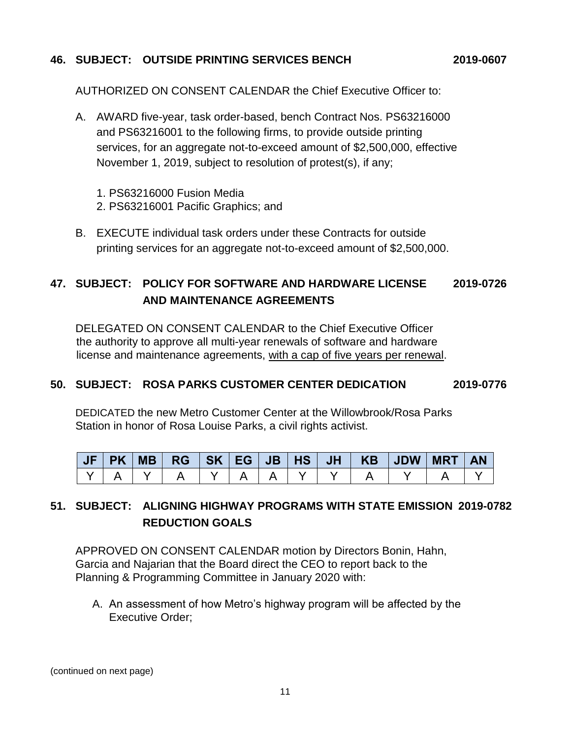#### **46. SUBJECT: OUTSIDE PRINTING SERVICES BENCH 2019-0607**

AUTHORIZED ON CONSENT CALENDAR the Chief Executive Officer to:

- A. AWARD five-year, task order-based, bench Contract Nos. PS63216000 and PS63216001 to the following firms, to provide outside printing services, for an aggregate not-to-exceed amount of \$2,500,000, effective November 1, 2019, subject to resolution of protest(s), if any;
	- 1. PS63216000 Fusion Media
	- 2. PS63216001 Pacific Graphics; and
- B. EXECUTE individual task orders under these Contracts for outside printing services for an aggregate not-to-exceed amount of \$2,500,000.

## **47. SUBJECT: POLICY FOR SOFTWARE AND HARDWARE LICENSE 2019-0726 AND MAINTENANCE AGREEMENTS**

DELEGATED ON CONSENT CALENDAR to the Chief Executive Officer the authority to approve all multi-year renewals of software and hardware license and maintenance agreements, with a cap of five years per renewal.

#### **50. SUBJECT: ROSA PARKS CUSTOMER CENTER DEDICATION 2019-0776**

DEDICATED the new Metro Customer Center at the Willowbrook/Rosa Parks Station in honor of Rosa Louise Parks, a civil rights activist.

|  | $JF$ $PK$ $MB$ |  |  |  |  | <b>MRT</b> |  |
|--|----------------|--|--|--|--|------------|--|
|  |                |  |  |  |  |            |  |

## **51. SUBJECT: ALIGNING HIGHWAY PROGRAMS WITH STATE EMISSION 2019-0782 REDUCTION GOALS**

APPROVED ON CONSENT CALENDAR motion by Directors Bonin, Hahn, Garcia and Najarian that the Board direct the CEO to report back to the Planning & Programming Committee in January 2020 with:

A. An assessment of how Metro's highway program will be affected by the Executive Order;